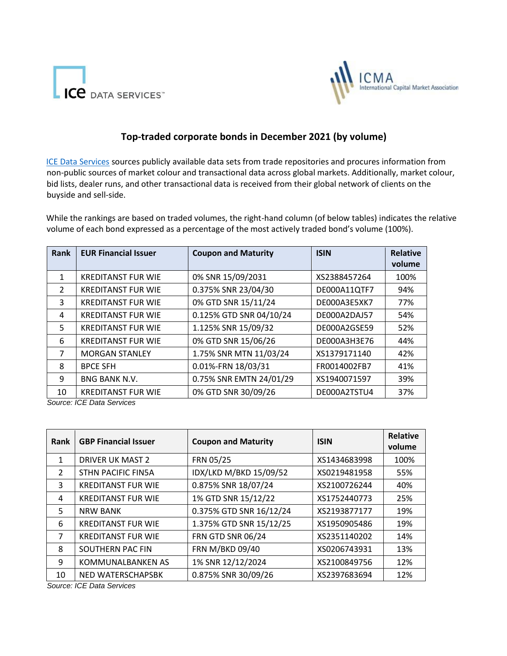



## **Top-traded corporate bonds in December 2021 (by volume)**

[ICE Data Services](https://www.theice.com/market-data) [s](https://www.theice.com/market-data)ources publicly available data sets from trade repositories and procures information from non-public sources of market colour and transactional data across global markets. Additionally, market colour, bid lists, dealer runs, and other transactional data is received from their global network of clients on the buyside and sell-side.

While the rankings are based on traded volumes, the right-hand column (of below tables) indicates the relative volume of each bond expressed as a percentage of the most actively traded bond's volume (100%).

| Rank          | <b>EUR Financial Issuer</b> | <b>Coupon and Maturity</b> | <b>ISIN</b>  | <b>Relative</b><br>volume |
|---------------|-----------------------------|----------------------------|--------------|---------------------------|
| 1             | <b>KREDITANST FUR WIE</b>   | 0% SNR 15/09/2031          | XS2388457264 | 100%                      |
|               |                             |                            |              |                           |
| $\mathcal{L}$ | <b>KREDITANST FUR WIE</b>   | 0.375% SNR 23/04/30        | DE000A11QTF7 | 94%                       |
| 3             | <b>KREDITANST FUR WIE</b>   | 0% GTD SNR 15/11/24        | DE000A3E5XK7 | 77%                       |
| 4             | <b>KREDITANST FUR WIE</b>   | 0.125% GTD SNR 04/10/24    | DE000A2DAJ57 | 54%                       |
| 5             | <b>KREDITANST FUR WIE</b>   | 1.125% SNR 15/09/32        | DE000A2GSE59 | 52%                       |
| 6             | <b>KREDITANST FUR WIE</b>   | 0% GTD SNR 15/06/26        | DE000A3H3E76 | 44%                       |
| 7             | <b>MORGAN STANLEY</b>       | 1.75% SNR MTN 11/03/24     | XS1379171140 | 42%                       |
| 8             | <b>BPCE SFH</b>             | 0.01%-FRN 18/03/31         | FR0014002FB7 | 41%                       |
| 9             | <b>BNG BANK N.V.</b>        | 0.75% SNR EMTN 24/01/29    | XS1940071597 | 39%                       |
| 10            | <b>KREDITANST FUR WIE</b>   | 0% GTD SNR 30/09/26        | DE000A2TSTU4 | 37%                       |

*Source: ICE Data Services*

| Rank           | <b>GBP Financial Issuer</b> | <b>Coupon and Maturity</b> | <b>ISIN</b>  | <b>Relative</b><br>volume |
|----------------|-----------------------------|----------------------------|--------------|---------------------------|
| 1              | DRIVER UK MAST 2            | FRN 05/25                  | XS1434683998 | 100%                      |
| $\mathcal{L}$  | <b>STHN PACIFIC FIN5A</b>   | IDX/LKD M/BKD 15/09/52     | XS0219481958 | 55%                       |
| 3              | <b>KREDITANST FUR WIE</b>   | 0.875% SNR 18/07/24        | XS2100726244 | 40%                       |
| 4              | <b>KREDITANST FUR WIE</b>   | 1% GTD SNR 15/12/22        | XS1752440773 | 25%                       |
| 5.             | <b>NRW BANK</b>             | 0.375% GTD SNR 16/12/24    | XS2193877177 | 19%                       |
| 6              | <b>KREDITANST FUR WIE</b>   | 1.375% GTD SNR 15/12/25    | XS1950905486 | 19%                       |
| $\overline{7}$ | <b>KREDITANST FUR WIE</b>   | <b>FRN GTD SNR 06/24</b>   | XS2351140202 | 14%                       |
| 8              | SOUTHERN PAC FIN            | FRN M/BKD 09/40            | XS0206743931 | 13%                       |
| 9              | <b>KOMMUNALBANKEN AS</b>    | 1% SNR 12/12/2024          | XS2100849756 | 12%                       |
| 10             | NED WATERSCHAPSBK           | 0.875% SNR 30/09/26        | XS2397683694 | 12%                       |

*Source: ICE Data Services*